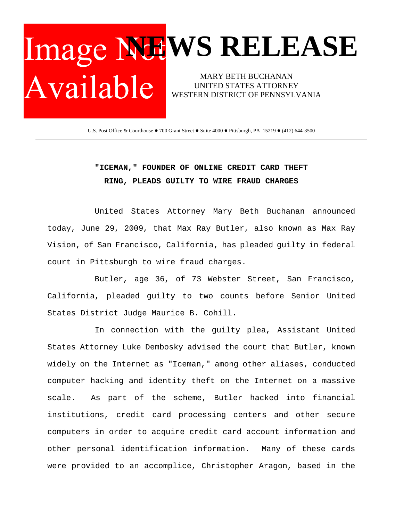## Image Nul WS RELEASE MARY BETH BUCHANAN Available | UNITED STATES ATTORNEY WESTERN DISTRICT OF PENNSYLVANIA

U.S. Post Office & Courthouse . 700 Grant Street . Suite 4000 . Pittsburgh, PA 15219 . (412) 644-3500

## **"ICEMAN," FOUNDER OF ONLINE CREDIT CARD THEFT RING, PLEADS GUILTY TO WIRE FRAUD CHARGES**

United States Attorney Mary Beth Buchanan announced today, June 29, 2009, that Max Ray Butler, also known as Max Ray Vision, of San Francisco, California, has pleaded guilty in federal court in Pittsburgh to wire fraud charges.

Butler, age 36, of 73 Webster Street, San Francisco, California, pleaded guilty to two counts before Senior United States District Judge Maurice B. Cohill.

In connection with the guilty plea, Assistant United States Attorney Luke Dembosky advised the court that Butler, known widely on the Internet as "Iceman," among other aliases, conducted computer hacking and identity theft on the Internet on a massive scale. As part of the scheme, Butler hacked into financial institutions, credit card processing centers and other secure computers in order to acquire credit card account information and other personal identification information. Many of these cards were provided to an accomplice, Christopher Aragon, based in the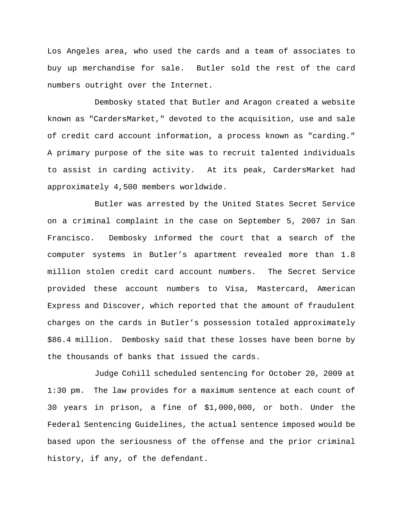Los Angeles area, who used the cards and a team of associates to buy up merchandise for sale. Butler sold the rest of the card numbers outright over the Internet.

Dembosky stated that Butler and Aragon created a website known as "CardersMarket," devoted to the acquisition, use and sale of credit card account information, a process known as "carding." A primary purpose of the site was to recruit talented individuals to assist in carding activity. At its peak, CardersMarket had approximately 4,500 members worldwide.

Butler was arrested by the United States Secret Service on a criminal complaint in the case on September 5, 2007 in San Francisco. Dembosky informed the court that a search of the computer systems in Butler's apartment revealed more than 1.8 million stolen credit card account numbers. The Secret Service provided these account numbers to Visa, Mastercard, American Express and Discover, which reported that the amount of fraudulent charges on the cards in Butler's possession totaled approximately \$86.4 million. Dembosky said that these losses have been borne by the thousands of banks that issued the cards.

Judge Cohill scheduled sentencing for October 20, 2009 at 1:30 pm. The law provides for a maximum sentence at each count of 30 years in prison, a fine of \$1,000,000, or both. Under the Federal Sentencing Guidelines, the actual sentence imposed would be based upon the seriousness of the offense and the prior criminal history, if any, of the defendant.